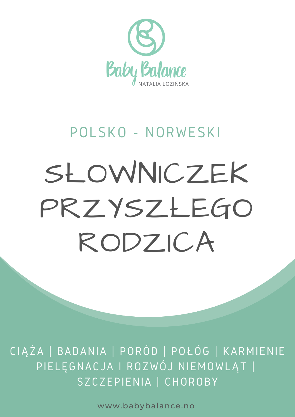

## POLSKO - NORWESKI

# SŁOWNICZEK PRZYSZŁEGO RODZICA

CIĄŻA | BADANIA | PORÓD | POŁÓG | KARMIENIE PIELĘGNACJA I ROZWÓJ NIEMOWLĄT | SZCZEPIENIA | CHOROBY

www.babybalance.no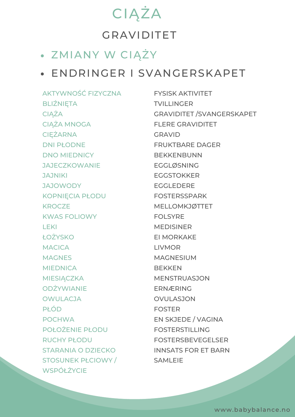## CIĄŻA GRAVIDITET

#### ZMIANY W CIĄŻY

#### ENDRINGER I SVANGERSKAPET

AKTYWNOŚĆ FIZYCZNA BLIŹNIĘTA **CIAŻA** CIĄŻA MNOGA **CIEŻARNA** DNI PŁODNE DNO MIEDNICY **JAJECZKOWANIE** JAJNIKI JAJOWODY KOPNIĘCIA PŁODU **KROCZE** KWAS FOLIOWY LEKI ŁOŻYSKO **MACICA MAGNES MIEDNICA MIESIĄCZKA** ODŻYWIANIE **OWULACJA** PŁÓD POCHWA POŁOŻENIE PŁODU RUCHY PŁODU STARANIA O DZIECKO STOSUNEK PŁCIOWY / **WSPÓŁŻYCIE** 

FYSISK AKTIVITET **TVILLINGER** GRAVIDITET /SVANGERSKAPET FLERE GRAVIDITET GRAVID FRUKTBARE DAGER BEKKENBUNN EGGLØSNING EGGSTOKKER EGGLEDERE FOSTERSSPARK MELLOMKJØTTET FOLSYRE MEDISINER EI MORKAKE LIVMOR MAGNESIUM **BEKKEN** MENSTRUASJON ERNÆRING OVULASJON FOSTER EN SKJEDE / VAGINA FOSTERSTILLING FOSTERSBEVEGELSER INNSATS FOR ET BARN SAMI FIF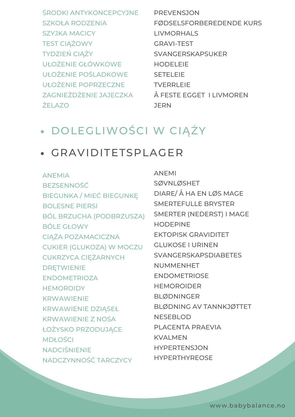ŚRODKI ANTYKONCEPCYJNE PREVENSJON SZKOŁA RODZENIA SZYJKA MACICY TEST CIĄŻOWY TYDZIEŃ CIĄŻY UŁOŻENIE GŁÓWKOWE UŁOŻENIE POŚLADKOWE UŁOŻENIE POPRZECZNE ZAGNIEŻDŻENIE JAJECZKA ŻELAZO

FØDSELSFORBEREDENDE KURS LIVMORHALS GRAVI-TEST SVANGERSKAPSUKER HODELEIE SETELEIE TVERRLEIE Å FESTE EGGET I LIVMOREN **JERN** 

#### DOLEGLIWOŚCI W CIĄŻY

#### GRAVIDITETSPLAGER

ANEMIA BEZSENNOŚĆ BIEGUNKA / MIEĆ BIEGUNKĘ BOLESNE PIERSI BÓL BRZUCHA (PODBRZUSZA) BÓLE GŁOWY CIĄŻA POZAMACICZNA CUKIER (GLUKOZA) W MOCZU CUKRZYCA CIĘŻARNYCH DRĘTWIENIE ENDOMETRIOZA **HEMOROIDY** KRWAWIENIE KRWAWIENIE DZIĄSEŁ KRWAWIENIE Z NOSA ŁOŻYSKO PRZODUJĄCE MDŁOŚCI NADCIŚNIENIE NADCZYNNOŚĆ TARCZYCY

ANEMI SØVNLØSHET DIARE/ Å HA EN LØS MAGE SMERTEFULLE BRYSTER SMERTER (NEDERST) I MAGE HODEPINE EKTOPISK GRAVIDITET GLUKOSE I URINEN SVANGERSKAPSDIABETES NUMMENHET ENDOMETRIOSE HEMOROIDER BLØDNINGER BLØDNING AV TANNKJØTTET NESEBLOD PLACENTA PRAEVIA KVALMEN HYPERTENSJON HYPERTHYREOSE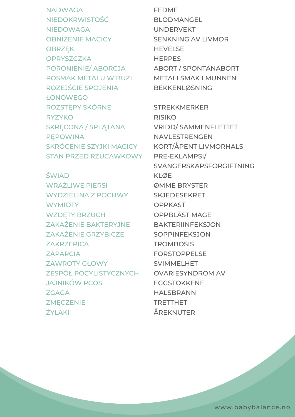NADWAGA NIEDOKRWISTOŚĆ NIEDOWAGA OBNIŻENIE MACICY OBRZĘK **OPRYSZCZKA** PORONIENIE/ ABORCJA POSMAK METALU W BUZI ROZEJŚCIE SPOJENIA ŁONOWEGO ROZSTĘPY SKÓRNE RYZYKO SKRĘCONA / SPLĄTANA PĘPOWINA SKRÓCENIE SZYJKI MACICY **KORT/ÅPENT LIVMORHALS** STAN PRZED RZUCAWKOWY

**ŚWIĄD** WRAŻLIWE PIERSI WYDZIELINA Z POCHWY **WYMIOTY** WZDĘTY BRZUCH ZAKAŻENIE BAKTERYJNE BAKTERIINFEKSJON ZAKAŻENIE GRZYBICZE ZAKRZEPICA ZAPARCIA ZAWROTY GŁOWY ZESPÓŁ POCYLISTYCZNYCH JAJNIKÓW PCOS **ZGAGA ZMECZENIE** ŻYLAKI

FEDME BLODMANGEL UNDERVEKT SENKNING AV LIVMOR **HEVELSE** HERPES ABORT / SPONTANABORT METALLSMAK I MUNNEN BEKKENLØSNING

> STREKKMERKER RISIKO VRIDD/ SAMMENFLETTET NAVLESTRENGEN PRE-EKLAMPSI/ SVANGERSKAPSFORGIFTNING KLØE ØMME BRYSTER SKJEDESEKRET **OPPKAST** OPPBLÅST MAGE **SOPPINFEKSJON TROMBOSIS** FORSTOPPELSE SVIMMELHET OVARIESYNDROM AV EGGSTOKKENE HALSBRANN TRETTHET ÅREKNUTER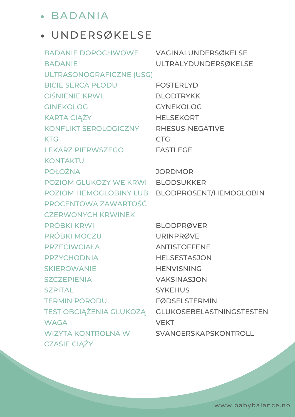#### BADANIA

#### UNDERSØKELSE

| <b>BADANIE DOPOCHWOWE</b>             | VAGINALUNDERSØKELSE                              |
|---------------------------------------|--------------------------------------------------|
| <b>BADANIE</b>                        | ULTRALYDUNDERSØKELSE                             |
| ULTRASONOGRAFICZNE (USG)              |                                                  |
| <b>BICIE SERCA PŁODU</b>              | <b>FOSTERLYD</b>                                 |
| <b>CIŚNIENIE KRWI</b>                 | <b>BLODTRYKK</b>                                 |
| <b>GINEKOLOG</b>                      | <b>GYNEKOLOG</b>                                 |
| <b>KARTA CIAŻY</b>                    | <b>HELSEKORT</b>                                 |
| KONFLIKT SEROLOGICZNY RHESUS-NEGATIVE |                                                  |
| <b>KTG</b>                            | <b>CTG</b>                                       |
| <b>LEKARZ PIERWSZEGO</b>              | <b>FASTLEGE</b>                                  |
| <b>KONTAKTU</b>                       |                                                  |
| <b>POŁOŻNA</b>                        | <b>JORDMOR</b>                                   |
| POZIOM GLUKOZY WE KRWI BLODSUKKER     |                                                  |
|                                       | POZIOM HEMOGLOBINY LUB BLODPROSENT/HEMOGLOBIN    |
| PROCENTOWA ZAWARTOŚĆ                  |                                                  |
| <b>CZERWONYCH KRWINEK</b>             |                                                  |
| <b>PRÓBKI KRWI</b>                    | <b>BLODPRØVER</b>                                |
| PRÓBKI MOCZU                          | <b>URINPRØVE</b>                                 |
| <b>PRZECIWCIAŁA</b>                   | <b>ANTISTOFFENE</b>                              |
| <b>PRZYCHODNIA</b>                    | <b>HELSESTASJON</b>                              |
| <b>SKIEROWANIE</b>                    | <b>HENVISNING</b>                                |
| <b>SZCZEPIENIA</b>                    | <b>VAKSINASJON</b>                               |
| <b>SZPITAL</b>                        | <b>SYKEHUS</b>                                   |
| <b>TERMIN PORODU</b>                  | <b>FØDSELSTERMIN</b>                             |
|                                       | TEST OBCIĄŻENIA GLUKOZĄ GLUKOSEBELASTNINGSTESTEN |
| <b>WAGA</b>                           | <b>VEKT</b>                                      |
| <b>WIZYTA KONTROLNA W</b>             | SVANGERSKAPSKONTROLL                             |
| <b>CZASIE CIĄŻY</b>                   |                                                  |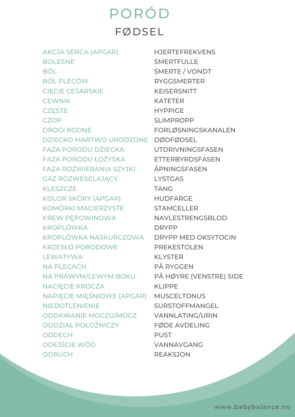PORÓD FØDSEL

AKCJA SERCA (APGAR) BOLESNE BÓL BÓL PLECÓW CIĘCIE CESARSKIE **CEWNIK CZESTE CZOP** DROGI RODNE DZIECKO MARTWO URODZONE DØDFØDSEL FAZA PORODU DZIECKA FAZA PORODU ŁOŻYSKA ETTERBYRDSFASEN FAZA ROZWIERANIA SZYJKI ÅPNINGSFASEN GAZ ROZWESELAJĄCY KLESZCZE KOLOR SKÓRY (APGAR) HUDFARGE KOMÓRKI MACIERZYSTE STAMCELLER KREW PĘPOWINOWA KROPLÓWKA KROPLÓWKA NASKURCZOWA DRYPP MED OKSYTOCIN KRZESŁO PORODOWE **LEWATYWA** NA PLECACH NA PRAWYM/LEWYM BOKU PÅ HØYRE (VENSTRE) SIDE NACIĘCIE KROCZA NAPIĘCIE MIĘŚNIOWE (APGAR) MUSCELTONUS NIEDOTLENIENIE ODDAWANIE MOCZU/MOCZ VANNLATING/URIN ODDZIAŁ POŁOŻNICZY **ODDECH** ODEJŚCIE WÓD ODRUCH

HJERTEFREKVENS **SMERTFULLE** SMERTE / VONDT RYGGSMERTER KEISERSNITT KATETER HYPPIGE SLIMPROPP FORLØSNINGSKANALEN UTDRIVNINGSFASEN LYSTGAS TANG NAVLESTRENGSBLOD DRYPP **PREKESTOLEN** KLYSTER PÅ RYGGEN KLIPPE SURSTOFFMANGEL FØDE AVDELING PUST VANNAVGANG REAKSJON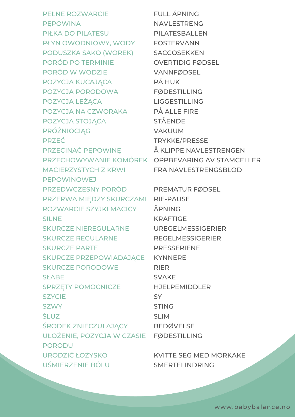PEŁNE ROZWARCIE PĘPOWINA PIŁKA DO PILATESU PŁYN OWODNIOWY, WODY FOSTERVANN PODUSZKA SAKO (WOREK) SACCOSEKKEN PORÓD PO TERMINIE PORÓD W WODZIE POZYCJA KUCAJĄCA POZYCJA PORODOWA POZYCJA LEŻĄCA POZYCJA NA CZWORAKA POZYCJA STOJĄCA PRÓŻNIOCIĄG PRZEĆ PRZECINAĆ PĘPOWINĘ MACIERZYSTYCH Z KRWI **PEPOWINOWEJ** PRZEDWCZESNY PORÓD PREMATUR FØDSEL PRZERWA MIĘDZY SKURCZAMI RIE-PAUSE ROZWARCIE SZYJKI MACICY SILNE SKURCZE NIEREGULARNE SKURCZE REGULARNE SKURCZE PARTE SKURCZE PRZEPOWIADAJĄCE KYNNERE SKURCZE PORODOWE **SŁABE** SPRZĘTY POMOCNICZE **SZYCIE SZWY** ŚLUZ ŚRODEK ZNIECZULAJĄCY BEDØVELSE UŁOŻENIE, POZYCJA W CZASIE FØDESTILLING PORODU URODZIĆ ŁOŻYSKO UŚMIERZENIE BÓLU

PRZECHOWYWANIE KOMÓREK OPPBEVARING AV STAMCELLER FULL ÅPNING NAVLESTRENG PILATESBALLEN OVERTIDIG FØDSEL VANNFØDSEL PÅ HUK FØDESTILLING LIGGESTILLING PÅ ALLE FIRE STÅENDE VAKUUM TRYKKE/PRESSE Å KI IPPF NAVI FSTRFNGFN FRA NAVLESTRENGSBLOD

> ÅPNING KRAFTIGE UREGELMESSIGERIER REGELMESSIGERIER PRESSERIENE RIER SVAKE HJELPEMIDDLER SY STING SLIM

KVITTE SEG MED MORKAKE SMERTELINDRING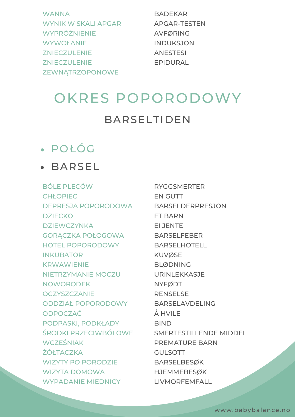| <b>WANNA</b>               |
|----------------------------|
| <b>WYNIK W SKALI APGAR</b> |
| WYPRÓŻNIENIE               |
| <b>WYWOŁANIE</b>           |
| <b>ZNIECZULENIE</b>        |
| <b>ZNIECZULENIE</b>        |
| ZEWNĄTRZOPONOWE            |

BADEKAR APGAR-TESTEN AVFØRING INDUKSJON ANESTESI EPIDURAL

### OKRES POPORODOWY BARSELTIDEN

#### POŁÓG

#### BARSEL

BÓLE PLECÓW **CHŁOPIEC** DEPRESJA POPORODOWA **DZIECKO DZIEWCZYNKA** GORĄCZKA POŁOGOWA HOTEL POPORODOWY INKUBATOR KRWAWIENIE NIETRZYMANIE MOCZU NOWORODEK **OCZYSZCZANIE** ODDZIAŁ POPORODOWY ODPOCZĄĆ PODPASKI, PODKŁADY ŚRODKI PRZECIWBÓLOWE WCZEŚNIAK **ŻÓŁTACZKA** WIZYTY PO PORODZIE WIZYTA DOMOWA WYPADANIE MIEDNICY

RYGGSMERTER EN GUTT BARSELDERPRESJON ET BARN EI JENTE BARSELFEBER BARSELHOTELL KUVØSE BLØDNING URINLEKKASJE NYFØDT RENSELSE BARSELAVDELING  $Å$  HVII F **BIND** SMERTESTILLENDE MIDDEL PREMATURE BARN **GULSOTT** BARSELBESØK HJEMMEBESØK LIVMORFEMFALL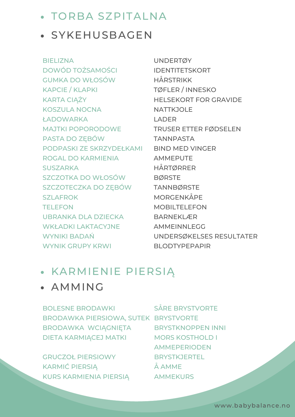- TORBA SZPITALNA
- **SYKEHUSBAGEN**

BIELIZNA DOWÓD TOŻSAMOŚCI GUMKA DO WŁOSÓW KAPCIE / KLAPKI KARTA CIĄŻY KOSZULA NOCNA ŁADOWARKA MAJTKI POPORODOWE PASTA DO ZĘBÓW PODPASKI ZE SKRZYDEŁKAMI BIND MED VINGER ROGAL DO KARMIENIA **SUSZARKA** SZCZOTKA DO WŁOSÓW SZCZOTECZKA DO ZĘBÓW **SZLAFROK TELEFON** UBRANKA DLA DZIECKA WKł ADKI LAKTACYJNE WYNIKI BADAŃ WYNIK GRUPY KRWI

UNDERTØY IDENTITETSKORT HÅRSTRIKK TØFLER / INNESKO HELSEKORT FOR GRAVIDE **NATTKJOLE LADER** TRUSER ETTER FØDSELEN TANNPASTA AMMEPUTE HÅRTØRRER BØRSTE TANNBØRSTE MORGENKÅPE MOBILTELEFON BARNEKLÆR AMMEINNI FGG UNDERSØKELSES RESULTATER BLODTYPEPAPIR

#### KARMIENIE PIERSIĄ

#### AMMING

BOLESNE BRODAWKI BRODAWKA PIERSIOWA, SUTEK BRYSTVORTE BRODAWKA WCIĄGNIĘTA DIETA KARMIĄCEJ MATKI SÅRE BRYSTVORTE BRYSTKNOPPEN INNI MORS KOSTHOLD I

GRUCZOŁ PIERSIOWY KARMIĆ PIERSIĄ KURS KARMIENIA PIERSIĄ

AMMEPERIODEN BRYSTKJERTEL Å AMME AMMEKURS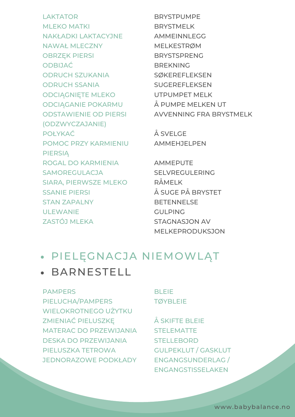LAKTATOR MLEKO MATKI NAKŁADKI LAKTACYJNE NAWAŁ MLECZNY OBRZĘK PIERSI ODBIJAĆ ODRUCH SZUKANIA ODRUCH SSANIA ODCIĄGNIĘTE MLEKO ODCIĄGANIE POKARMU ODSTAWIENIE OD PIERSI (ODZWYCZAJANIE) POŁYKAĆ POMOC PRZY KARMIENIU PIERSIĄ ROGAL DO KARMIENIA **SAMOREGULACJA** SIARA, PIERWSZE MLEKO SSANIE PIERSI STAN ZAPALNY ULEWANIE ZASTÓJ MLEKA

BRYSTPUMPE BRYSTMELK AMMEINNLEGG MELKESTRØM **BRYSTSPRENG** BREKNING SØKEREFLEKSEN SUGEREFLEKSEN UTPUMPET MELK Å PUMPE MELKEN UT AVVENNING FRA BRYSTMELK

Å SVELGE AMMEHJELPEN

AMMEPUTE SELVREGULERING RÅMELK Å SUGE PÅ BRYSTET BETENNELSE GULPING STAGNASJON AV MELKEPRODUKSJON

#### PIELĘGNACJA NIEMOWLĄT

#### BARNESTELL

#### **PAMPERS**

PIELUCHA/PAMPERS WIELOKROTNEGO UŻYTKU ZMIENIAĆ PIELUSZKĘ MATERAC DO PRZEWIJANIA STELEMATTE DESKA DO PRZEWIJANIA PIELUSZKA TETROWA JEDNORAZOWE PODKŁADY ENGANGSUNDERLAG /

#### **BLEIE TØYBLEIE**

Å SKIFTE BLEIE **STELLEBORD** GULPEKLUT / GASKLUT ENGANGSTISSELAKEN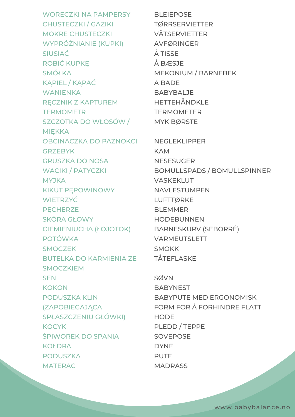WORECZKI NA PAMPERSY CHUSTECZKI / GAZIKI MOKRE CHUSTECZKI WYPRÓŻNIANIE (KUPKI) SIUSIAĆ ROBIĆ KUPKĘ SMÓŁKA KĄPIEL / KĄPAĆ **WANIENKA** RĘCZNIK Z KAPTUREM **TERMOMETR** SZCZOTKA DO WŁOSÓW / MIĘKKA OBCINACZKA DO PAZNOKCI **GRZEBYK** GRUSZKA DO NOSA WACIKI / PATYCZKI **MYJKA** KIKUT PĘPOWINOWY **WIETRZYĆ PECHERZE** SKÓRA GŁOWY CIEMIENIUCHA (ŁOJOTOK) POTÓWKA **SMOCZEK** BUTELKA DO KARMIENIA ZE SMOCZKIEM **SEN KOKON** PODUSZKA KLIN (ZAPOBIEGAJĄCA SPŁASZCZENIU GŁÓWKI) **KOCYK** ŚPIWOREK DO SPANIA **KOŁDRA** PODUSZKA MATERAC

**BLEIEPOSE** TØRRSERVIETTER VÅTSERVIETTER AVFØRINGER Å TISSE Å BÆSJE MEKONIUM / BARNEBEK  $Å$  BADE BABYBALJE HETTEHÅNDKLE TERMOMETER MYK BØRSTE NEGLEKLIPPER KAM **NESESUGER** BOMULLSPADS / BOMULLSPINNER VASKEKLUT NAVLESTUMPEN LUFTTØRKE BLEMMER HODEBUNNEN BARNESKURV (SEBORRÉ) VARMEUTSLETT SMOKK TÅTEFLASKE SØVN

**BABYNEST** BABYPUTE MED ERGONOMISK FORM FOR Å FORHINDRE FLATT **HODE** PLEDD / TEPPE **SOVEPOSE** DYNE **PUTE MADRASS**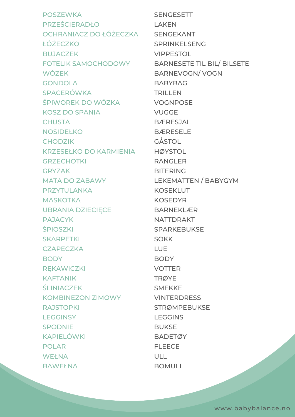**POSZEWKA** PRZEŚCIERADŁO OCHRANIACZ DO ŁÓŻECZKA ŁÓŻECZKO **BUJACZEK** FOTELIK SAMOCHODOWY WÓZEK **GONDOLA** SPACERÓWKA ŚPIWOREK DO WÓZKA KOSZ DO SPANIA **CHUSTA** NOSIDEŁKO **CHODZIK** KRZESEŁKO DO KARMIENIA **GRZECHOTKI GRYZAK** MATA DO ZABAWY PRZYTULANKA MASKOTKA UBRANIA DZIECIĘCE PAJACYK *ŚPIOSZKI* **SKARPETKI CZAPECZKA BODY REKAWICZKI** KAFTANIK **ŚLINIACZEK** KOMBINEZON ZIMOWY **RAJSTOPKI LEGGINSY** SPODNIE KĄPIELÓWKI POLAR WEŁNA BAWEŁNA

SENGESETT LAKEN SENGEKANT SPRINKELSENG VIPPESTOL BARNESETE TIL BIL/ BILSETE BARNEVOGN/ VOGN BABYBAG TRILLEN VOGNPOSE **VUGGE** BÆRESJAL **BÆRESELE** GÅSTOL **HØYSTOL** RANGLER BITERING LEKEMATTEN / BABYGYM **KOSEKLUT** KOSEDYR BARNEKLÆR NATTDRAKT SPARKEBUKSE SOKK LUE **BODY** VOTTER TRØYE SMEKKE VINTERDRESS STRØMPEBUKSE **LEGGINS BUKSE BADETØY** FLEECE ULL BOMULL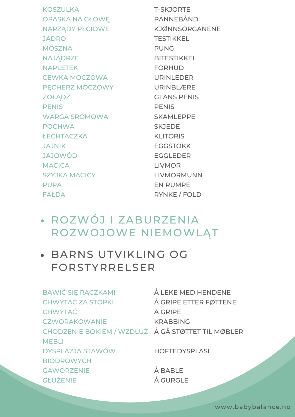**KOSZULKA** OPASKA NA GŁOWĘ NARZĄDY PŁCIOWE **JADRO** MOSZNA **NAJĄDRZE** NAPLETEK CEWKA MOCZOWA PĘCHERZ MOCZOWY **ŻOŁĄDŹ PENIS** WARGA SROMOWA POCHWA **ŁECHTACZKA** JAJNIK JAJOWÓD **MACICA** SZYJKA MACICY PUPA FAŁDA

T-SKJORTE PANNEBÅND KJØNNSORGANENE **TESTIKKEL** PUNG BITESTIKKEL FORHUD URINLEDER URINBLÆRE GLANS PENIS PENIS SKAMLEPPE SKJEDE KLITORIS **EGGSTOKK** EGGLEDER LIVMOR LIVMORMUNN EN RUMPE RYNKE / FOLD

- ROZWÓJ I ZABURZENIA ROZWOJOWE NIEMOWLĄT
- BARNS UTVIKLING OG FORSTYRRELSER

BAWIĆ SIĘ RĄCZKAMI Å LEKE MED HENDENE CHWYTAĆ ZA STÓPKI CHWYTAĆ **CZWORAKOWANIE** CHODZENIE BOKIEM / WZDŁUŻ Å GÅ STØTTET TIL MØBLER **MFBII** DYSPLAZJA STAWÓW BIODROWYCH **GAWORZENIE GŁUŻENIE** Å GRIPE ETTER FØTTENE Å GRIPE KRABBING **HOFTEDYSPLASI** Å BABLE Å GURGLE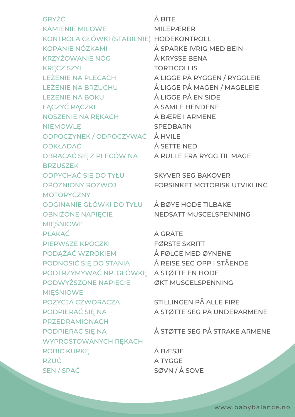GRYŹĆ KAMIENIE MILOWE KONTROLA GŁÓWKI (STABILNIE) HODEKONTROLL KOPANIE NÓŻKAMI KRZYŻOWANIE NÓG KRĘCZ SZYI LEŻENIE NA PLECACH LEŻENIE NA BRZUCHU LEŻENIE NA BOKU ŁĄCZYĆ RĄCZKI NOSZENIE NA RĘKACH NIEMOWLĘ ODPOCZYNEK / ODPOCZYWAĆ Å HVILE ODKŁADAĆ OBRACAĆ SIĘ Z PLECÓW NA **BRZUSZEK** ODPYCHAĆ SIĘ DO TYŁU OPÓŹNIONY ROZWÓJ **MOTORYCZNY** ODGINANIE GŁÓWKI DO TYŁU Å BØYE HODE TILBAKE OBNIŻONE NAPIĘCIE MIĘŚNIOWE PŁAKAĆ PIERWSZE KROCZKI PODĄŻAĆ WZROKIEM PODNOSIĆ SIĘ DO STANIA Å REISE SEG OPP I STÅENDE PODTRZYMYWAĆ NP. GŁÓWKĘ Å STØTTE EN HODE PODWYŻSZONE NAPIĘCIE MIĘŚNIOWE POZYCJA CZWORACZA PODPIERAĆ SIĘ NA PRZEDRAMIONACH PODPIERAĆ SIĘ NA WYPROSTOWANYCH RĘKACH ROBIĆ KUPKĘ RZUĆ SEN / SPAĆ

Å BITE MILEPÆRER Å SPARKE IVRIG MED BEIN Å KRYSSE BENA **TORTICOLLIS** Å LIGGE PÅ RYGGEN / RYGGLEIE Å LIGGE PÅ MAGEN / MAGELEIE Å LIGGE PÅ EN SIDE Å SAMLE HENDENE Å BÆRE I ARMENE **SPEDBARN** Å SETTE NED Å RULLE FRA RYGG TIL MAGE

SKYVER SEG BAKOVER FORSINKET MOTORISK UTVIKLING

NEDSATT MUSCELSPENNING

Å GRÅTE FØRSTE SKRITT Å FØLGE MED ØYNENE ØKT MUSCELSPENNING

> STILLINGEN PÅ ALLE FIRE Å STØTTE SEG PÅ UNDERARMENE

Å STØTTE SEG PÅ STRAKE ARMENE

Å BÆSJE Å TYGGE SØVN / Å SOVE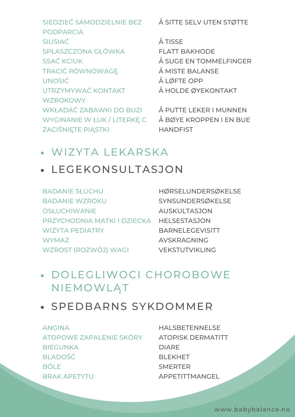SIEDZIEĆ SAMODZIELNIE BEZ PODPARCIA SIUSIAĆ SPŁASZCZONA GŁÓWKA SSAĆ KCIUK TRACIĆ RÓWNOWAGĘ UNOSIĆ UTRZYMYWAĆ KONTAKT **WZROKOWY** WKŁADAĆ ZABAWKI DO BUZI WYGINANIE W ŁUK / LITERKĘ C ZACIŚNIĘTE PIĄSTKI

Å SITTE SELV UTEN STØTTE

Å TISSE FLATT BAKHODE Å SUGE EN TOMMELFINGER Å MISTE BALANSE Å LØFTE OPP Å HOLDE ØYEKONTAKT

Å PUTTE LEKER I MUNNEN Å BØYE KROPPEN I EN BUE **HANDFIST** 

#### WIZYTA LEKARSKA

#### LEGEKONSULTASJON

BADANIE SŁUCHU BADANIE WZROKU **OSŁUCHIWANIE** PRZYCHODNIA MATKI I DZIECKA HELSESTASJON WIZYTA PEDIATRY **WYMAZ** WZROST (ROZWÓJ) WAGI

HØRSELUNDERSØKELSE **SYNSUNDERSØKELSE** AUSKULTASJON BARNELEGEVISITT AVSKRAGNING VEKSTUTVIKI ING

#### DOLEGLIWOCI CHOROBOWE NIEMOWLĄT

#### SPEDBARNS SYKDOMMER

ANGINA ATOPOWE ZAPALENIE SKÓRY BIEGUNKA BLADOŚĆ BÓLE BRAK APETYTU

HALSBETENNELSE ATOPISK DERMATITT DIARE BLEKHET SMERTER APPETITTMANGEL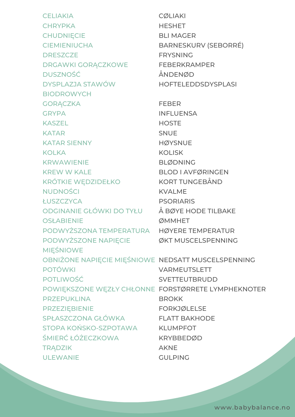CELIAKIA **CHRYPKA CHUDNIECIE CIEMIENIUCHA DRESZCZE** DRGAWKI GORĄCZKOWE DUSZNOŚĆ DYSPLAZJA STAWÓW BIODROWYCH **GORĄCZKA GRYPA** KASZEL KATAR KATAR SIENNY **KOLKA** KRWAWIENIE KREW W KALE KRÓTKIE WĘDZIDEŁKO NUDNOŚCI ŁUSZCZYCA ODGINANIE GŁÓWKI DO TYŁU **OSŁABIENIE** PODWYŻSZONA TEMPERATURA HØYERE TEMPERATUR PODWYŻSZONE NAPIĘCIE MIĘŚNIOWE OBNIŻONE NAPIĘCIE MIĘŚNIOWE NEDSATT MUSCELSPENNING POTÓWKI POTLIWOŚĆ POWIĘKSZONE WĘZŁY CHŁONNE FORSTØRRETE LYMPHEKNOTER PRZEPUKLINA PRZEZIĘBIENIE SPŁASZCZONA GŁÓWKA STOPA KOŃSKO-SZPOTAWA ŚMIERĆ ŁÓŻECZKOWA **TRADZIK** ULEWANIE CØLIAKI **HESHET** BLI MAGER BARNESKURV (SEBORRÉ) FRYSNING FEBERKRAMPER ÅNDENØD HOFTELEDDSDYSPLASI FEBER INFLUENSA **HOSTE SNUE HØYSNUE** KOLISK BLØDNING BLOD I AVFØRINGEN KORT TUNGEBÅND KVALME PSORIARIS Å BØYE HODE TILBAKE **ØMMHET** ØKT MUSCELSPENNING VARMEUTSLETT **SVETTEUTBRUDD BROKK** FORKJØLELSE FLATT BAKHODE KLUMPFOT KRYBBEDØD AKNE GULPING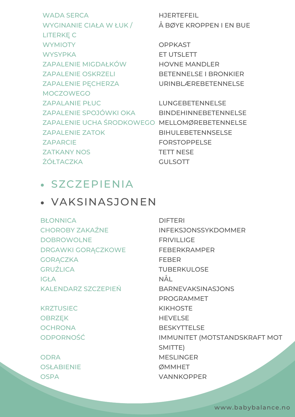WADA SERCA WYGINANIE CIAŁA W ŁUK / LITERKĘ C **WYMIOTY WYSYPKA** ZAPALENIE MIGDAŁKÓW ZAPALENIE OSKRZELI ZAPALENIE PĘCHERZA MOCZOWEGO ZAPALANIE PŁUC ZAPALENIE SPOJÓWKI OKA MENDEHINNEBETENNELSE ZAPALENIE UCHA ŚRODKOWEGO MELLOMØREBETENNELSE ZAPALENIE ZATOK ZAPARCIE ZATKANY NOS **ŻÓŁTACZKA** 

HJERTEFEIL Å BØYE KROPPEN I EN BUE

**OPPKAST** ET UTSLETT HOVNE MANDLER BETENNELSE I BRONKIER URINBLÆREBETENNELSE

LUNGEBETENNELSE BIHULEBETENNSELSE FORSTOPPELSE TETT NESE GULSOTT

#### SZCZEPIENIA

#### VAKSINASJONEN

**BŁONNICA** CHOROBY ZAKAŹNE DOBROWOLNE DRGAWKI GORĄCZKOWE **GORACZKA GRUŹLICA** IGŁA KALENDARZ SZCZEPIEŃ

**KRZTUSIEC** OBRZĘK **OCHRONA** ODPORNOŚĆ

ODRA OSł ABIENIE **OSPA** 

DIFTERI INFEKSJONSSYKDOMMER **FRIVILLIGE** FEBERKRAMPER FEBER TUBERKULOSE NÅL BARNEVAKSINASJONS PROGRAMMET KIKHOSTE HEVELSE **BESKYTTELSE** IMMUNITET (MOTSTANDSKRAFT MOT SMITTE) MESLINGER **ØMMHFT** VANNKOPPER

www.babybalance.no